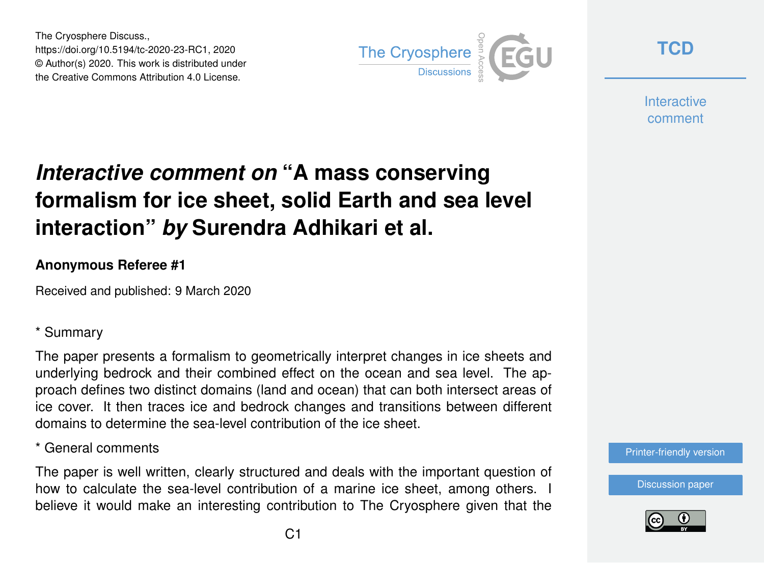The Cryosphere Discuss., https://doi.org/10.5194/tc-2020-23-RC1, 2020 © Author(s) 2020. This work is distributed under the Creative Commons Attribution 4.0 License.



**[TCD](https://www.the-cryosphere-discuss.net/)**

**Interactive** comment

# *Interactive comment on* **"A mass conserving formalism for ice sheet, solid Earth and sea level interaction"** *by* **Surendra Adhikari et al.**

### **Anonymous Referee #1**

Received and published: 9 March 2020

## \* Summary

The paper presents a formalism to geometrically interpret changes in ice sheets and underlying bedrock and their combined effect on the ocean and sea level. The approach defines two distinct domains (land and ocean) that can both intersect areas of ice cover. It then traces ice and bedrock changes and transitions between different domains to determine the sea-level contribution of the ice sheet.

\* General comments

The paper is well written, clearly structured and deals with the important question of how to calculate the sea-level contribution of a marine ice sheet, among others. I believe it would make an interesting contribution to The Cryosphere given that the



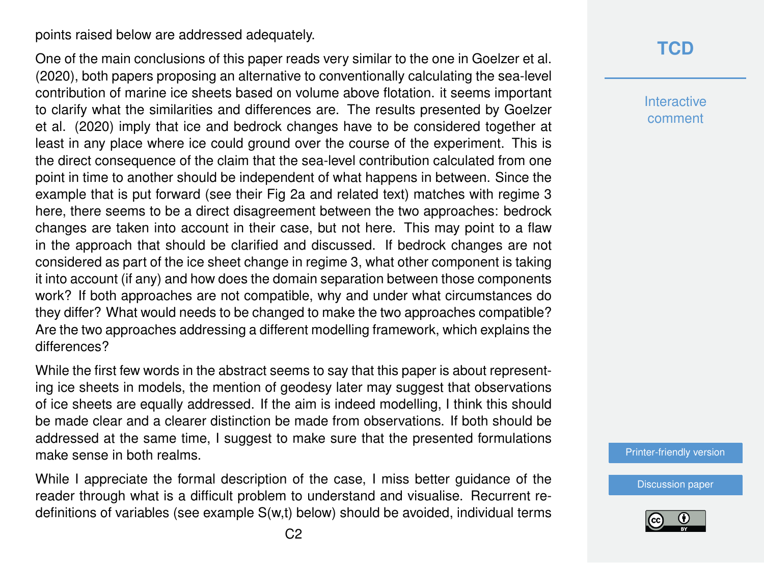points raised below are addressed adequately.

One of the main conclusions of this paper reads very similar to the one in Goelzer et al. (2020), both papers proposing an alternative to conventionally calculating the sea-level contribution of marine ice sheets based on volume above flotation. it seems important to clarify what the similarities and differences are. The results presented by Goelzer et al. (2020) imply that ice and bedrock changes have to be considered together at least in any place where ice could ground over the course of the experiment. This is the direct consequence of the claim that the sea-level contribution calculated from one point in time to another should be independent of what happens in between. Since the example that is put forward (see their Fig 2a and related text) matches with regime 3 here, there seems to be a direct disagreement between the two approaches: bedrock changes are taken into account in their case, but not here. This may point to a flaw in the approach that should be clarified and discussed. If bedrock changes are not considered as part of the ice sheet change in regime 3, what other component is taking it into account (if any) and how does the domain separation between those components work? If both approaches are not compatible, why and under what circumstances do they differ? What would needs to be changed to make the two approaches compatible? Are the two approaches addressing a different modelling framework, which explains the differences?

While the first few words in the abstract seems to say that this paper is about representing ice sheets in models, the mention of geodesy later may suggest that observations of ice sheets are equally addressed. If the aim is indeed modelling, I think this should be made clear and a clearer distinction be made from observations. If both should be addressed at the same time, I suggest to make sure that the presented formulations make sense in both realms.

While I appreciate the formal description of the case, I miss better guidance of the reader through what is a difficult problem to understand and visualise. Recurrent redefinitions of variables (see example S(w,t) below) should be avoided, individual terms

# **[TCD](https://www.the-cryosphere-discuss.net/)**

**Interactive** comment

[Printer-friendly version](https://www.the-cryosphere-discuss.net/tc-2020-23/tc-2020-23-RC1-print.pdf)

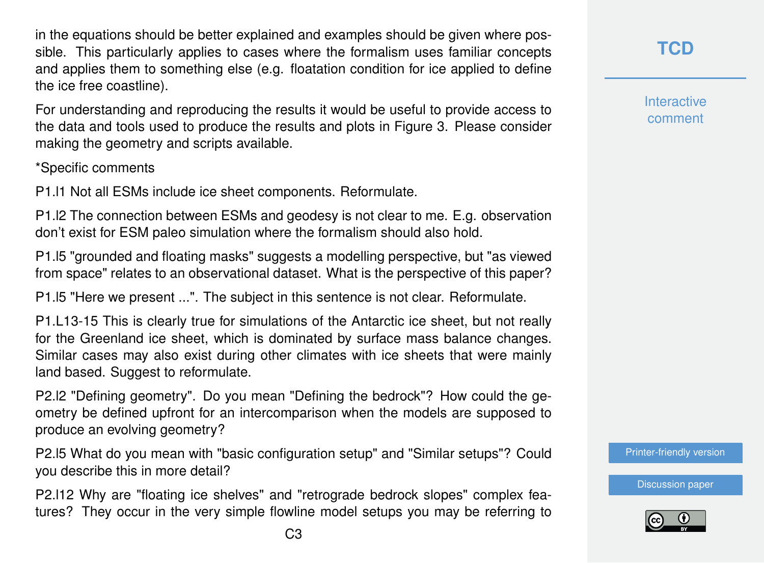in the equations should be better explained and examples should be given where possible. This particularly applies to cases where the formalism uses familiar concepts and applies them to something else (e.g. floatation condition for ice applied to define the ice free coastline).

For understanding and reproducing the results it would be useful to provide access to the data and tools used to produce the results and plots in Figure 3. Please consider making the geometry and scripts available.

#### \*Specific comments

P1.l1 Not all ESMs include ice sheet components. Reformulate.

P1.l2 The connection between ESMs and geodesy is not clear to me. E.g. observation don't exist for ESM paleo simulation where the formalism should also hold.

P1.l5 "grounded and floating masks" suggests a modelling perspective, but "as viewed from space" relates to an observational dataset. What is the perspective of this paper?

P1.l5 "Here we present ...". The subject in this sentence is not clear. Reformulate.

P1.L13-15 This is clearly true for simulations of the Antarctic ice sheet, but not really for the Greenland ice sheet, which is dominated by surface mass balance changes. Similar cases may also exist during other climates with ice sheets that were mainly land based. Suggest to reformulate.

P2.l2 "Defining geometry". Do you mean "Defining the bedrock"? How could the geometry be defined upfront for an intercomparison when the models are supposed to produce an evolving geometry?

P2.l5 What do you mean with "basic configuration setup" and "Similar setups"? Could you describe this in more detail?

P2.l12 Why are "floating ice shelves" and "retrograde bedrock slopes" complex features? They occur in the very simple flowline model setups you may be referring to **Interactive** comment

[Printer-friendly version](https://www.the-cryosphere-discuss.net/tc-2020-23/tc-2020-23-RC1-print.pdf)

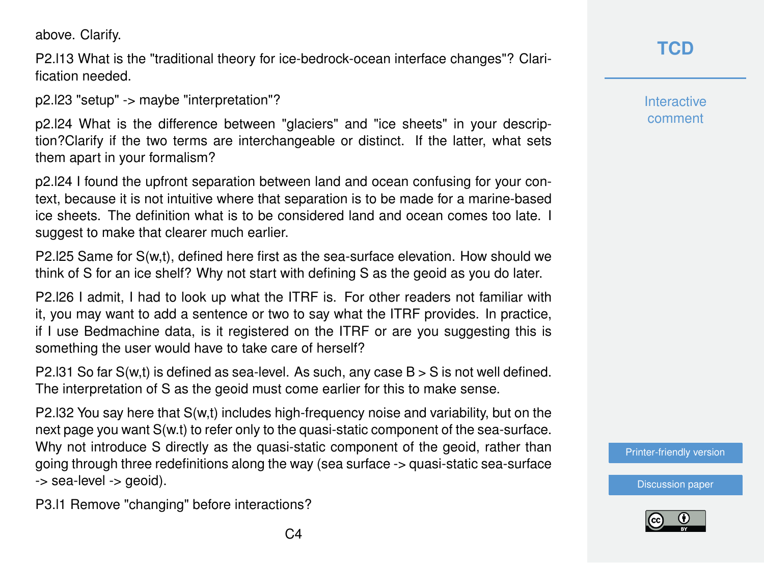above. Clarify.

P2.l13 What is the "traditional theory for ice-bedrock-ocean interface changes"? Clarification needed.

p2.l23 "setup" -> maybe "interpretation"?

p2.l24 What is the difference between "glaciers" and "ice sheets" in your description?Clarify if the two terms are interchangeable or distinct. If the latter, what sets them apart in your formalism?

p2.l24 I found the upfront separation between land and ocean confusing for your context, because it is not intuitive where that separation is to be made for a marine-based ice sheets. The definition what is to be considered land and ocean comes too late. I suggest to make that clearer much earlier.

P2.l25 Same for S(w,t), defined here first as the sea-surface elevation. How should we think of S for an ice shelf? Why not start with defining S as the geoid as you do later.

P2.l26 I admit, I had to look up what the ITRF is. For other readers not familiar with it, you may want to add a sentence or two to say what the ITRF provides. In practice, if I use Bedmachine data, is it registered on the ITRF or are you suggesting this is something the user would have to take care of herself?

P2.131 So far  $S(w,t)$  is defined as sea-level. As such, any case  $B > S$  is not well defined. The interpretation of S as the geoid must come earlier for this to make sense.

P2.l32 You say here that S(w,t) includes high-frequency noise and variability, but on the next page you want S(w.t) to refer only to the quasi-static component of the sea-surface. Why not introduce S directly as the quasi-static component of the geoid, rather than going through three redefinitions along the way (sea surface -> quasi-static sea-surface -> sea-level -> geoid).

P3.l1 Remove "changing" before interactions?

**Interactive** comment

[Printer-friendly version](https://www.the-cryosphere-discuss.net/tc-2020-23/tc-2020-23-RC1-print.pdf)

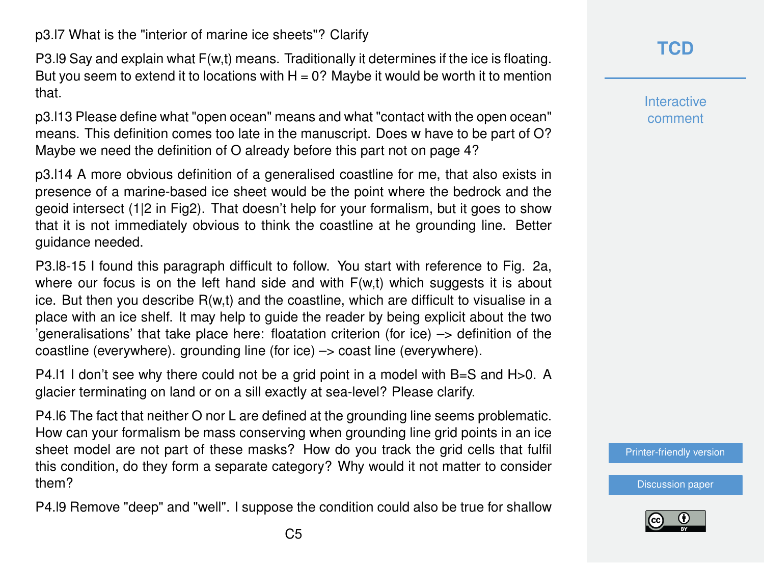p3.l7 What is the "interior of marine ice sheets"? Clarify

P3.l9 Say and explain what F(w,t) means. Traditionally it determines if the ice is floating. But you seem to extend it to locations with  $H = 0$ ? Maybe it would be worth it to mention that.

p3.l13 Please define what "open ocean" means and what "contact with the open ocean" means. This definition comes too late in the manuscript. Does w have to be part of O? Maybe we need the definition of O already before this part not on page 4?

p3.l14 A more obvious definition of a generalised coastline for me, that also exists in presence of a marine-based ice sheet would be the point where the bedrock and the geoid intersect (1|2 in Fig2). That doesn't help for your formalism, but it goes to show that it is not immediately obvious to think the coastline at he grounding line. Better guidance needed.

P3.l8-15 I found this paragraph difficult to follow. You start with reference to Fig. 2a, where our focus is on the left hand side and with  $F(w,t)$  which suggests it is about ice. But then you describe  $R(w,t)$  and the coastline, which are difficult to visualise in a place with an ice shelf. It may help to guide the reader by being explicit about the two 'generalisations' that take place here: floatation criterion (for ice) –> definition of the coastline (everywhere). grounding line (for ice) –> coast line (everywhere).

P4. I I don't see why there could not be a grid point in a model with  $B=S$  and  $H>0$ . A glacier terminating on land or on a sill exactly at sea-level? Please clarify.

P4.l6 The fact that neither O nor L are defined at the grounding line seems problematic. How can your formalism be mass conserving when grounding line grid points in an ice sheet model are not part of these masks? How do you track the grid cells that fulfil this condition, do they form a separate category? Why would it not matter to consider them?

P4.l9 Remove "deep" and "well". I suppose the condition could also be true for shallow

**[TCD](https://www.the-cryosphere-discuss.net/)**

**Interactive** comment

[Printer-friendly version](https://www.the-cryosphere-discuss.net/tc-2020-23/tc-2020-23-RC1-print.pdf)

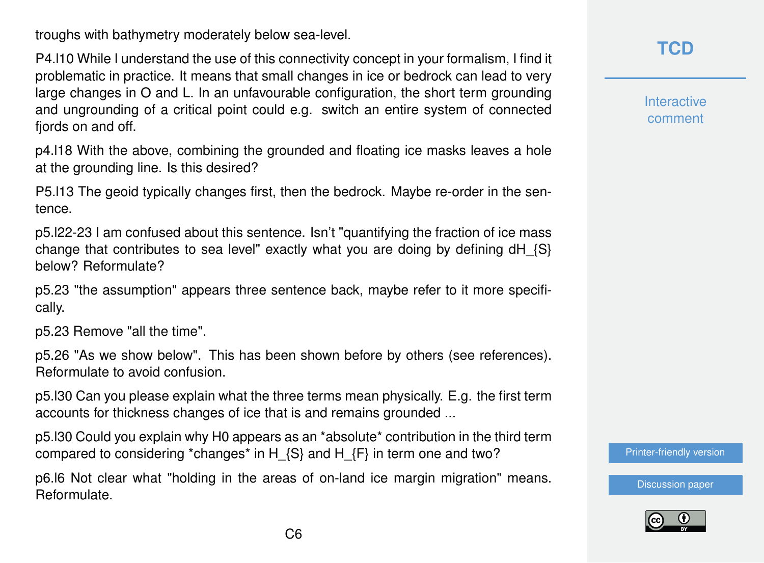troughs with bathymetry moderately below sea-level.

P4.l10 While I understand the use of this connectivity concept in your formalism, I find it problematic in practice. It means that small changes in ice or bedrock can lead to very large changes in O and L. In an unfavourable configuration, the short term grounding and ungrounding of a critical point could e.g. switch an entire system of connected fiords on and off.

p4.l18 With the above, combining the grounded and floating ice masks leaves a hole at the grounding line. Is this desired?

P5.l13 The geoid typically changes first, then the bedrock. Maybe re-order in the sentence.

p5.l22-23 I am confused about this sentence. Isn't "quantifying the fraction of ice mass change that contributes to sea level" exactly what you are doing by defining  $dH_{S}$ below? Reformulate?

p5.23 "the assumption" appears three sentence back, maybe refer to it more specifically.

p5.23 Remove "all the time".

p5.26 "As we show below". This has been shown before by others (see references). Reformulate to avoid confusion.

p5.l30 Can you please explain what the three terms mean physically. E.g. the first term accounts for thickness changes of ice that is and remains grounded ...

p5.l30 Could you explain why H0 appears as an \*absolute\* contribution in the third term compared to considering \*changes\* in H  $\{S\}$  and H  $\{F\}$  in term one and two?

p6.l6 Not clear what "holding in the areas of on-land ice margin migration" means. Reformulate.

**[TCD](https://www.the-cryosphere-discuss.net/)**

**Interactive** comment

[Printer-friendly version](https://www.the-cryosphere-discuss.net/tc-2020-23/tc-2020-23-RC1-print.pdf)

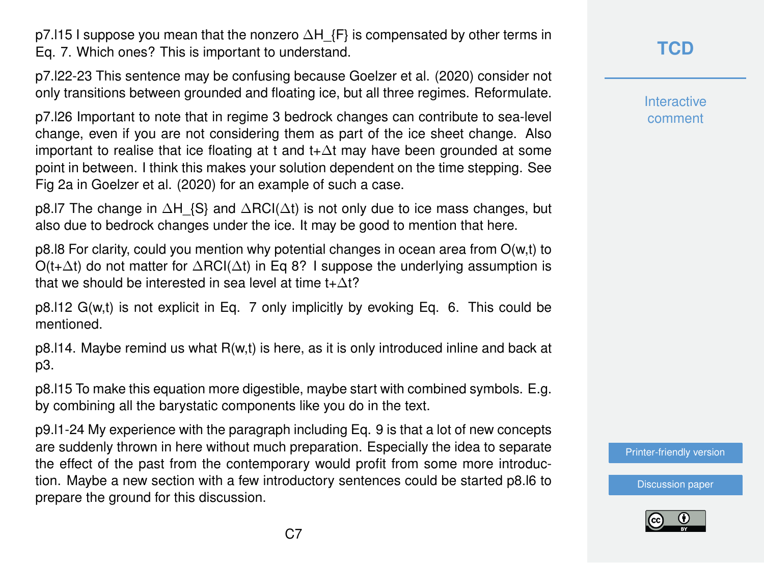p7.l15 I suppose you mean that the nonzero  $\Delta H$  {F} is compensated by other terms in Eq. 7. Which ones? This is important to understand.

p7.l22-23 This sentence may be confusing because Goelzer et al. (2020) consider not only transitions between grounded and floating ice, but all three regimes. Reformulate.

p7.l26 Important to note that in regime 3 bedrock changes can contribute to sea-level change, even if you are not considering them as part of the ice sheet change. Also important to realise that ice floating at t and t+∆t may have been grounded at some point in between. I think this makes your solution dependent on the time stepping. See Fig 2a in Goelzer et al. (2020) for an example of such a case.

p8.l7 The change in  $\Delta H$  {S} and  $\Delta RCI(\Delta t)$  is not only due to ice mass changes, but also due to bedrock changes under the ice. It may be good to mention that here.

p8.l8 For clarity, could you mention why potential changes in ocean area from O(w,t) to  $O(t+\Delta t)$  do not matter for  $\Delta \text{RCl}(\Delta t)$  in Eq 8? I suppose the underlying assumption is that we should be interested in sea level at time  $t+\Delta t$ ?

p8.l12 G(w,t) is not explicit in Eq. 7 only implicitly by evoking Eq. 6. This could be mentioned.

 $p8.114$ . Maybe remind us what  $R(w,t)$  is here, as it is only introduced inline and back at p3.

p8.l15 To make this equation more digestible, maybe start with combined symbols. E.g. by combining all the barystatic components like you do in the text.

p9.l1-24 My experience with the paragraph including Eq. 9 is that a lot of new concepts are suddenly thrown in here without much preparation. Especially the idea to separate the effect of the past from the contemporary would profit from some more introduction. Maybe a new section with a few introductory sentences could be started p8.l6 to prepare the ground for this discussion.

**[TCD](https://www.the-cryosphere-discuss.net/)**

**Interactive** comment

[Printer-friendly version](https://www.the-cryosphere-discuss.net/tc-2020-23/tc-2020-23-RC1-print.pdf)